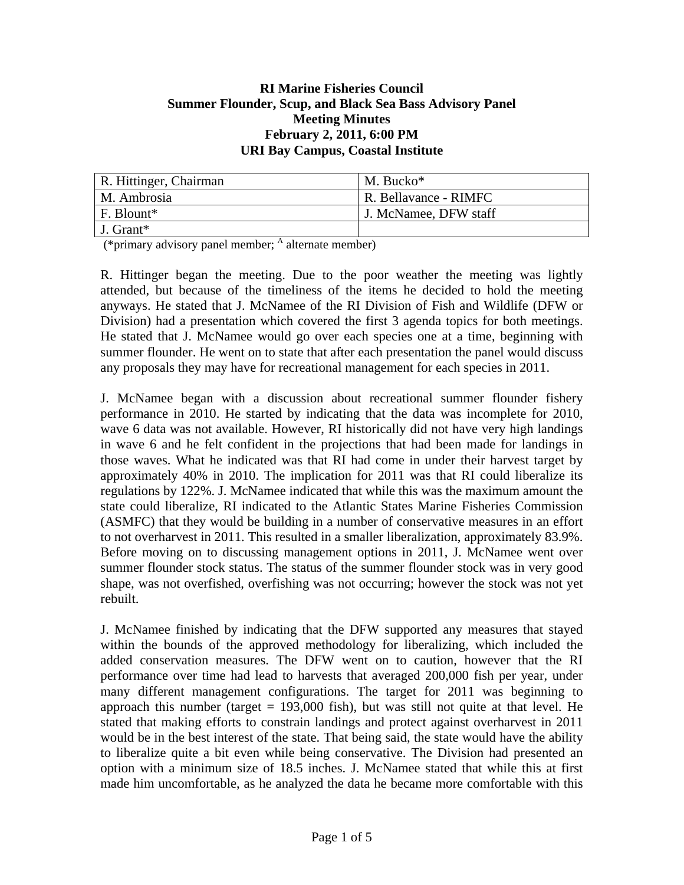## **RI Marine Fisheries Council Summer Flounder, Scup, and Black Sea Bass Advisory Panel Meeting Minutes February 2, 2011, 6:00 PM URI Bay Campus, Coastal Institute**

| R. Hittinger, Chairman | M. Bucko <sup>*</sup> |
|------------------------|-----------------------|
| M. Ambrosia            | R. Bellavance - RIMFC |
| $\mid$ F. Blount*      | J. McNamee, DFW staff |
| J. Grant*              |                       |

(\*primary advisory panel member;  $\frac{A}{A}$  alternate member)

R. Hittinger began the meeting. Due to the poor weather the meeting was lightly attended, but because of the timeliness of the items he decided to hold the meeting anyways. He stated that J. McNamee of the RI Division of Fish and Wildlife (DFW or Division) had a presentation which covered the first 3 agenda topics for both meetings. He stated that J. McNamee would go over each species one at a time, beginning with summer flounder. He went on to state that after each presentation the panel would discuss any proposals they may have for recreational management for each species in 2011.

J. McNamee began with a discussion about recreational summer flounder fishery performance in 2010. He started by indicating that the data was incomplete for 2010, wave 6 data was not available. However, RI historically did not have very high landings in wave 6 and he felt confident in the projections that had been made for landings in those waves. What he indicated was that RI had come in under their harvest target by approximately 40% in 2010. The implication for 2011 was that RI could liberalize its regulations by 122%. J. McNamee indicated that while this was the maximum amount the state could liberalize, RI indicated to the Atlantic States Marine Fisheries Commission (ASMFC) that they would be building in a number of conservative measures in an effort to not overharvest in 2011. This resulted in a smaller liberalization, approximately 83.9%. Before moving on to discussing management options in 2011, J. McNamee went over summer flounder stock status. The status of the summer flounder stock was in very good shape, was not overfished, overfishing was not occurring; however the stock was not yet rebuilt.

J. McNamee finished by indicating that the DFW supported any measures that stayed within the bounds of the approved methodology for liberalizing, which included the added conservation measures. The DFW went on to caution, however that the RI performance over time had lead to harvests that averaged 200,000 fish per year, under many different management configurations. The target for 2011 was beginning to approach this number (target  $= 193,000$  fish), but was still not quite at that level. He stated that making efforts to constrain landings and protect against overharvest in 2011 would be in the best interest of the state. That being said, the state would have the ability to liberalize quite a bit even while being conservative. The Division had presented an option with a minimum size of 18.5 inches. J. McNamee stated that while this at first made him uncomfortable, as he analyzed the data he became more comfortable with this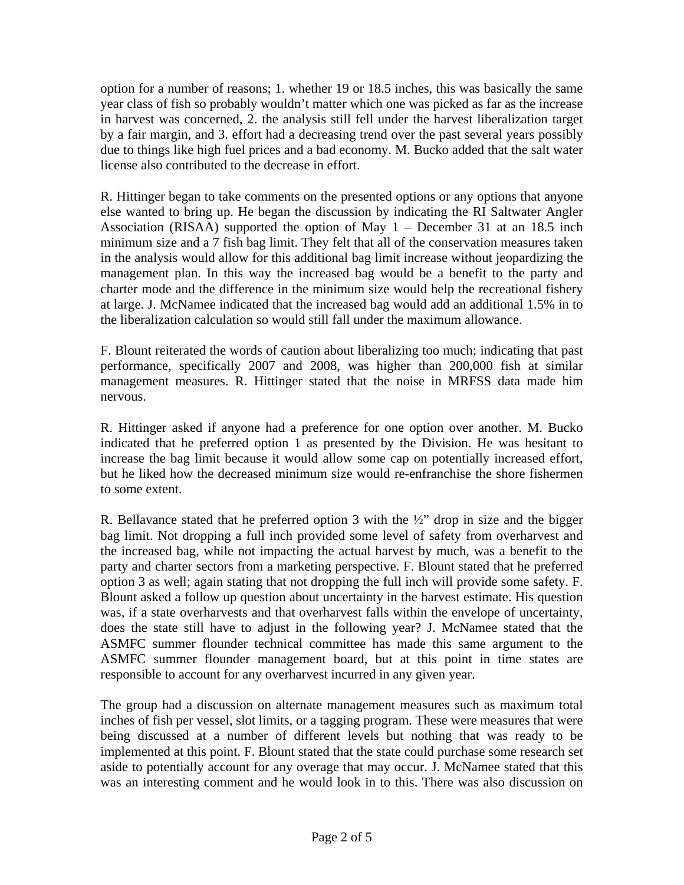option for a number of reasons; 1. whether 19 or 18.5 inches, this was basically the same year class of fish so probably wouldn't matter which one was picked as far as the increase in harvest was concerned, 2. the analysis still fell under the harvest liberalization target by a fair margin, and 3. effort had a decreasing trend over the past several years possibly due to things like high fuel prices and a bad economy. M. Bucko added that the salt water license also contributed to the decrease in effort.

R. Hittinger began to take comments on the presented options or any options that anyone else wanted to bring up. He began the discussion by indicating the RI Saltwater Angler Association (RISAA) supported the option of May 1 – December 31 at an 18.5 inch minimum size and a 7 fish bag limit. They felt that all of the conservation measures taken in the analysis would allow for this additional bag limit increase without jeopardizing the management plan. In this way the increased bag would be a benefit to the party and charter mode and the difference in the minimum size would help the recreational fishery at large. J. McNamee indicated that the increased bag would add an additional 1.5% in to the liberalization calculation so would still fall under the maximum allowance.

F. Blount reiterated the words of caution about liberalizing too much; indicating that past performance, specifically 2007 and 2008, was higher than 200,000 fish at similar management measures. R. Hittinger stated that the noise in MRFSS data made him nervous.

R. Hittinger asked if anyone had a preference for one option over another. M. Bucko indicated that he preferred option 1 as presented by the Division. He was hesitant to increase the bag limit because it would allow some cap on potentially increased effort, but he liked how the decreased minimum size would re-enfranchise the shore fishermen to some extent.

R. Bellavance stated that he preferred option 3 with the  $\frac{1}{2}$  drop in size and the bigger bag limit. Not dropping a full inch provided some level of safety from overharvest and the increased bag, while not impacting the actual harvest by much, was a benefit to the party and charter sectors from a marketing perspective. F. Blount stated that he preferred option 3 as well; again stating that not dropping the full inch will provide some safety. F. Blount asked a follow up question about uncertainty in the harvest estimate. His question was, if a state overharvests and that overharvest falls within the envelope of uncertainty, does the state still have to adjust in the following year? J. McNamee stated that the ASMFC summer flounder technical committee has made this same argument to the ASMFC summer flounder management board, but at this point in time states are responsible to account for any overharvest incurred in any given year.

The group had a discussion on alternate management measures such as maximum total inches of fish per vessel, slot limits, or a tagging program. These were measures that were being discussed at a number of different levels but nothing that was ready to be implemented at this point. F. Blount stated that the state could purchase some research set aside to potentially account for any overage that may occur. J. McNamee stated that this was an interesting comment and he would look in to this. There was also discussion on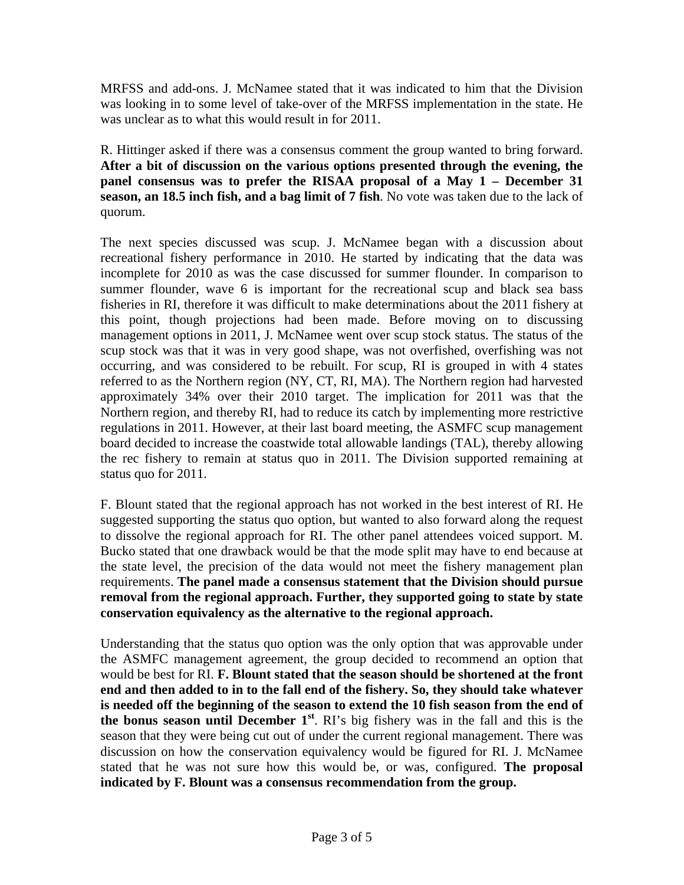MRFSS and add-ons. J. McNamee stated that it was indicated to him that the Division was looking in to some level of take-over of the MRFSS implementation in the state. He was unclear as to what this would result in for 2011.

R. Hittinger asked if there was a consensus comment the group wanted to bring forward. **After a bit of discussion on the various options presented through the evening, the panel consensus was to prefer the RISAA proposal of a May 1 – December 31 season, an 18.5 inch fish, and a bag limit of 7 fish**. No vote was taken due to the lack of quorum.

The next species discussed was scup. J. McNamee began with a discussion about recreational fishery performance in 2010. He started by indicating that the data was incomplete for 2010 as was the case discussed for summer flounder. In comparison to summer flounder, wave 6 is important for the recreational scup and black sea bass fisheries in RI, therefore it was difficult to make determinations about the 2011 fishery at this point, though projections had been made. Before moving on to discussing management options in 2011, J. McNamee went over scup stock status. The status of the scup stock was that it was in very good shape, was not overfished, overfishing was not occurring, and was considered to be rebuilt. For scup, RI is grouped in with 4 states referred to as the Northern region (NY, CT, RI, MA). The Northern region had harvested approximately 34% over their 2010 target. The implication for 2011 was that the Northern region, and thereby RI, had to reduce its catch by implementing more restrictive regulations in 2011. However, at their last board meeting, the ASMFC scup management board decided to increase the coastwide total allowable landings (TAL), thereby allowing the rec fishery to remain at status quo in 2011. The Division supported remaining at status quo for 2011.

F. Blount stated that the regional approach has not worked in the best interest of RI. He suggested supporting the status quo option, but wanted to also forward along the request to dissolve the regional approach for RI. The other panel attendees voiced support. M. Bucko stated that one drawback would be that the mode split may have to end because at the state level, the precision of the data would not meet the fishery management plan requirements. **The panel made a consensus statement that the Division should pursue removal from the regional approach. Further, they supported going to state by state conservation equivalency as the alternative to the regional approach.**

Understanding that the status quo option was the only option that was approvable under the ASMFC management agreement, the group decided to recommend an option that would be best for RI. **F. Blount stated that the season should be shortened at the front end and then added to in to the fall end of the fishery. So, they should take whatever is needed off the beginning of the season to extend the 10 fish season from the end of the bonus season until December 1st**. RI's big fishery was in the fall and this is the season that they were being cut out of under the current regional management. There was discussion on how the conservation equivalency would be figured for RI. J. McNamee stated that he was not sure how this would be, or was, configured. **The proposal indicated by F. Blount was a consensus recommendation from the group.**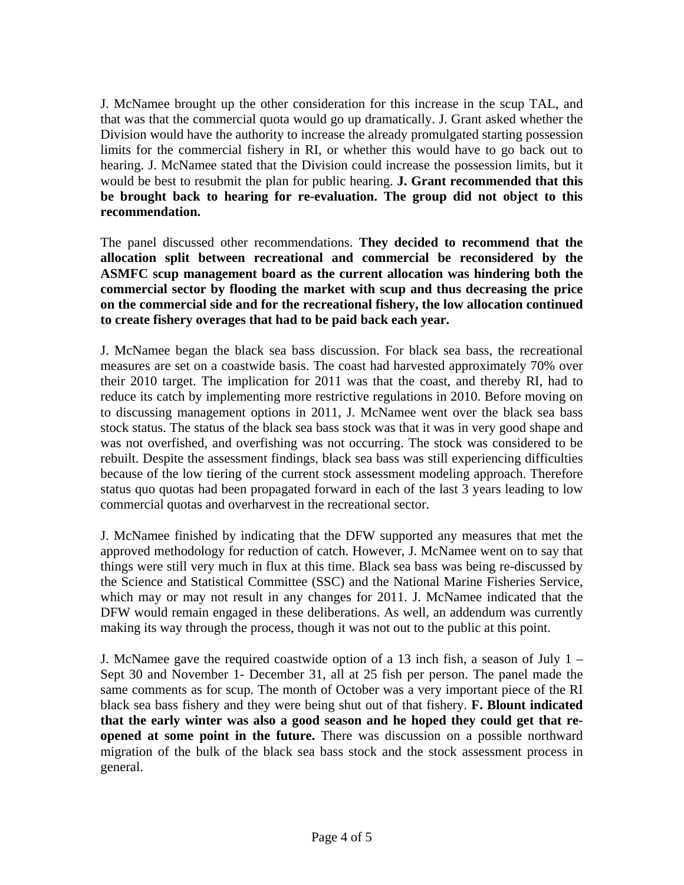J. McNamee brought up the other consideration for this increase in the scup TAL, and that was that the commercial quota would go up dramatically. J. Grant asked whether the Division would have the authority to increase the already promulgated starting possession limits for the commercial fishery in RI, or whether this would have to go back out to hearing. J. McNamee stated that the Division could increase the possession limits, but it would be best to resubmit the plan for public hearing. **J. Grant recommended that this be brought back to hearing for re-evaluation. The group did not object to this recommendation.**

The panel discussed other recommendations. **They decided to recommend that the allocation split between recreational and commercial be reconsidered by the ASMFC scup management board as the current allocation was hindering both the commercial sector by flooding the market with scup and thus decreasing the price on the commercial side and for the recreational fishery, the low allocation continued to create fishery overages that had to be paid back each year.**

J. McNamee began the black sea bass discussion. For black sea bass, the recreational measures are set on a coastwide basis. The coast had harvested approximately 70% over their 2010 target. The implication for 2011 was that the coast, and thereby RI, had to reduce its catch by implementing more restrictive regulations in 2010. Before moving on to discussing management options in 2011, J. McNamee went over the black sea bass stock status. The status of the black sea bass stock was that it was in very good shape and was not overfished, and overfishing was not occurring. The stock was considered to be rebuilt. Despite the assessment findings, black sea bass was still experiencing difficulties because of the low tiering of the current stock assessment modeling approach. Therefore status quo quotas had been propagated forward in each of the last 3 years leading to low commercial quotas and overharvest in the recreational sector.

J. McNamee finished by indicating that the DFW supported any measures that met the approved methodology for reduction of catch. However, J. McNamee went on to say that things were still very much in flux at this time. Black sea bass was being re-discussed by the Science and Statistical Committee (SSC) and the National Marine Fisheries Service, which may or may not result in any changes for 2011. J. McNamee indicated that the DFW would remain engaged in these deliberations. As well, an addendum was currently making its way through the process, though it was not out to the public at this point.

J. McNamee gave the required coastwide option of a 13 inch fish, a season of July 1 – Sept 30 and November 1- December 31, all at 25 fish per person. The panel made the same comments as for scup. The month of October was a very important piece of the RI black sea bass fishery and they were being shut out of that fishery. **F. Blount indicated that the early winter was also a good season and he hoped they could get that reopened at some point in the future.** There was discussion on a possible northward migration of the bulk of the black sea bass stock and the stock assessment process in general.